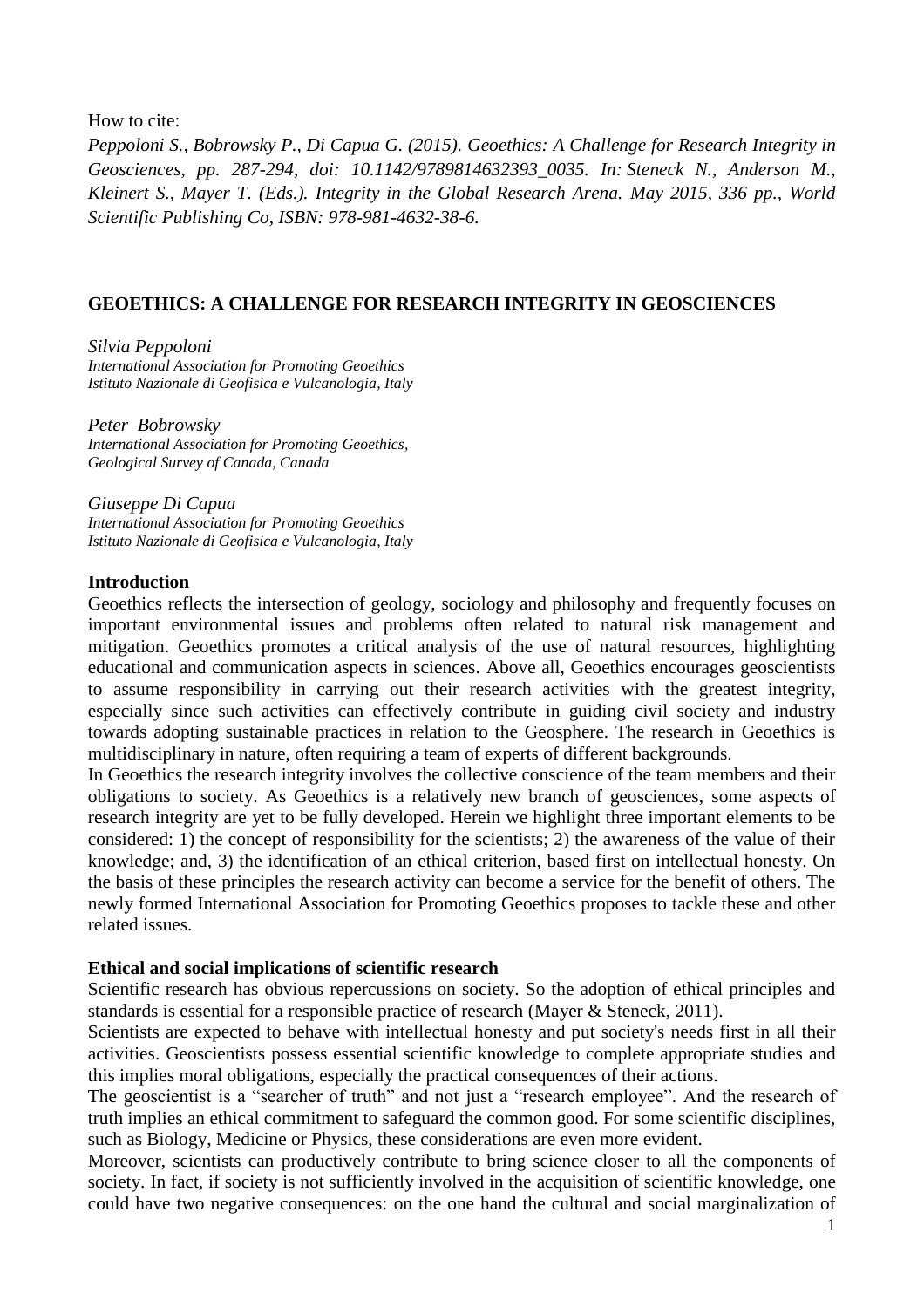How to cite:

*Peppoloni S., Bobrowsky P., Di Capua G. (2015). Geoethics: A Challenge for Research Integrity in Geosciences, pp. 287-294, doi: 10.1142/9789814632393\_0035. In: Steneck N., Anderson M., Kleinert S., Mayer T. (Eds.). Integrity in the Global Research Arena. May 2015, 336 pp., World Scientific Publishing Co, ISBN: 978-981-4632-38-6.*

# **GEOETHICS: A CHALLENGE FOR RESEARCH INTEGRITY IN GEOSCIENCES**

*Silvia Peppoloni International Association for Promoting Geoethics Istituto Nazionale di Geofisica e Vulcanologia, Italy*

*Peter Bobrowsky International Association for Promoting Geoethics, Geological Survey of Canada, Canada* 

*Giuseppe Di Capua International Association for Promoting Geoethics Istituto Nazionale di Geofisica e Vulcanologia, Italy*

### **Introduction**

Geoethics reflects the intersection of geology, sociology and philosophy and frequently focuses on important environmental issues and problems often related to natural risk management and mitigation. Geoethics promotes a critical analysis of the use of natural resources, highlighting educational and communication aspects in sciences. Above all, Geoethics encourages geoscientists to assume responsibility in carrying out their research activities with the greatest integrity, especially since such activities can effectively contribute in guiding civil society and industry towards adopting sustainable practices in relation to the Geosphere. The research in Geoethics is multidisciplinary in nature, often requiring a team of experts of different backgrounds.

In Geoethics the research integrity involves the collective conscience of the team members and their obligations to society. As Geoethics is a relatively new branch of geosciences, some aspects of research integrity are yet to be fully developed. Herein we highlight three important elements to be considered: 1) the concept of responsibility for the scientists; 2) the awareness of the value of their knowledge; and, 3) the identification of an ethical criterion, based first on intellectual honesty. On the basis of these principles the research activity can become a service for the benefit of others. The newly formed International Association for Promoting Geoethics proposes to tackle these and other related issues.

### **Ethical and social implications of scientific research**

Scientific research has obvious repercussions on society. So the adoption of ethical principles and standards is essential for a responsible practice of research (Mayer & Steneck, 2011).

Scientists are expected to behave with intellectual honesty and put society's needs first in all their activities. Geoscientists possess essential scientific knowledge to complete appropriate studies and this implies moral obligations, especially the practical consequences of their actions.

The geoscientist is a "searcher of truth" and not just a "research employee". And the research of truth implies an ethical commitment to safeguard the common good. For some scientific disciplines, such as Biology, Medicine or Physics, these considerations are even more evident.

Moreover, scientists can productively contribute to bring science closer to all the components of society. In fact, if society is not sufficiently involved in the acquisition of scientific knowledge, one could have two negative consequences: on the one hand the cultural and social marginalization of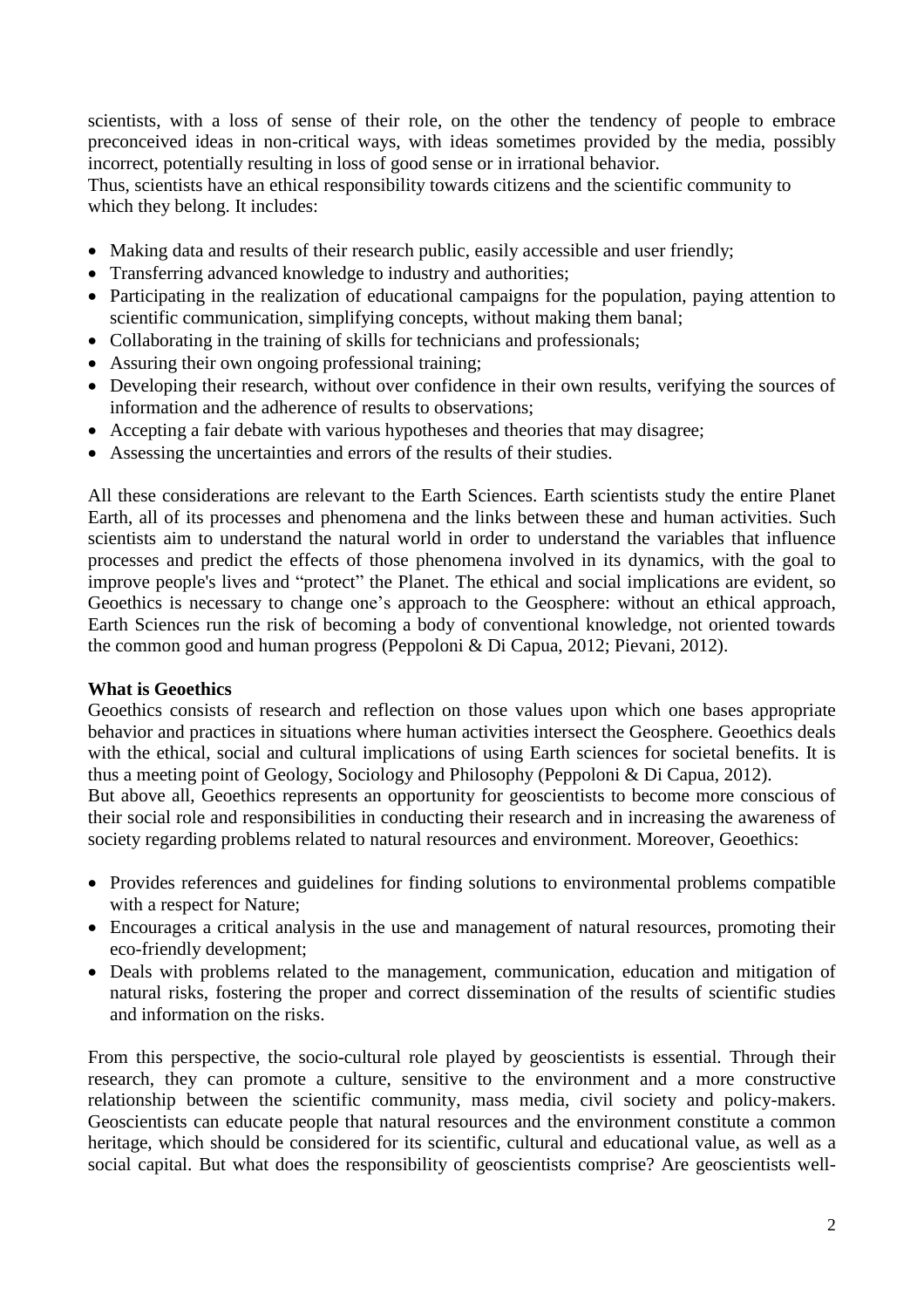scientists, with a loss of sense of their role, on the other the tendency of people to embrace preconceived ideas in non-critical ways, with ideas sometimes provided by the media, possibly incorrect, potentially resulting in loss of good sense or in irrational behavior.

Thus, scientists have an ethical responsibility towards citizens and the scientific community to which they belong. It includes:

- Making data and results of their research public, easily accessible and user friendly;
- Transferring advanced knowledge to industry and authorities;
- Participating in the realization of educational campaigns for the population, paying attention to scientific communication, simplifying concepts, without making them banal;
- Collaborating in the training of skills for technicians and professionals;
- Assuring their own ongoing professional training;
- Developing their research, without over confidence in their own results, verifying the sources of information and the adherence of results to observations;
- Accepting a fair debate with various hypotheses and theories that may disagree;
- Assessing the uncertainties and errors of the results of their studies.

All these considerations are relevant to the Earth Sciences. Earth scientists study the entire Planet Earth, all of its processes and phenomena and the links between these and human activities. Such scientists aim to understand the natural world in order to understand the variables that influence processes and predict the effects of those phenomena involved in its dynamics, with the goal to improve people's lives and "protect" the Planet. The ethical and social implications are evident, so Geoethics is necessary to change one's approach to the Geosphere: without an ethical approach, Earth Sciences run the risk of becoming a body of conventional knowledge, not oriented towards the common good and human progress (Peppoloni & Di Capua, 2012; Pievani, 2012).

## **What is Geoethics**

Geoethics consists of research and reflection on those values upon which one bases appropriate behavior and practices in situations where human activities intersect the Geosphere. Geoethics deals with the ethical, social and cultural implications of using Earth sciences for societal benefits. It is thus a meeting point of Geology, Sociology and Philosophy (Peppoloni & Di Capua, 2012).

But above all, Geoethics represents an opportunity for geoscientists to become more conscious of their social role and responsibilities in conducting their research and in increasing the awareness of society regarding problems related to natural resources and environment. Moreover, Geoethics:

- Provides references and guidelines for finding solutions to environmental problems compatible with a respect for Nature;
- Encourages a critical analysis in the use and management of natural resources, promoting their eco-friendly development;
- Deals with problems related to the management, communication, education and mitigation of natural risks, fostering the proper and correct dissemination of the results of scientific studies and information on the risks.

From this perspective, the socio-cultural role played by geoscientists is essential. Through their research, they can promote a culture, sensitive to the environment and a more constructive relationship between the scientific community, mass media, civil society and policy-makers. Geoscientists can educate people that natural resources and the environment constitute a common heritage, which should be considered for its scientific, cultural and educational value, as well as a social capital. But what does the responsibility of geoscientists comprise? Are geoscientists well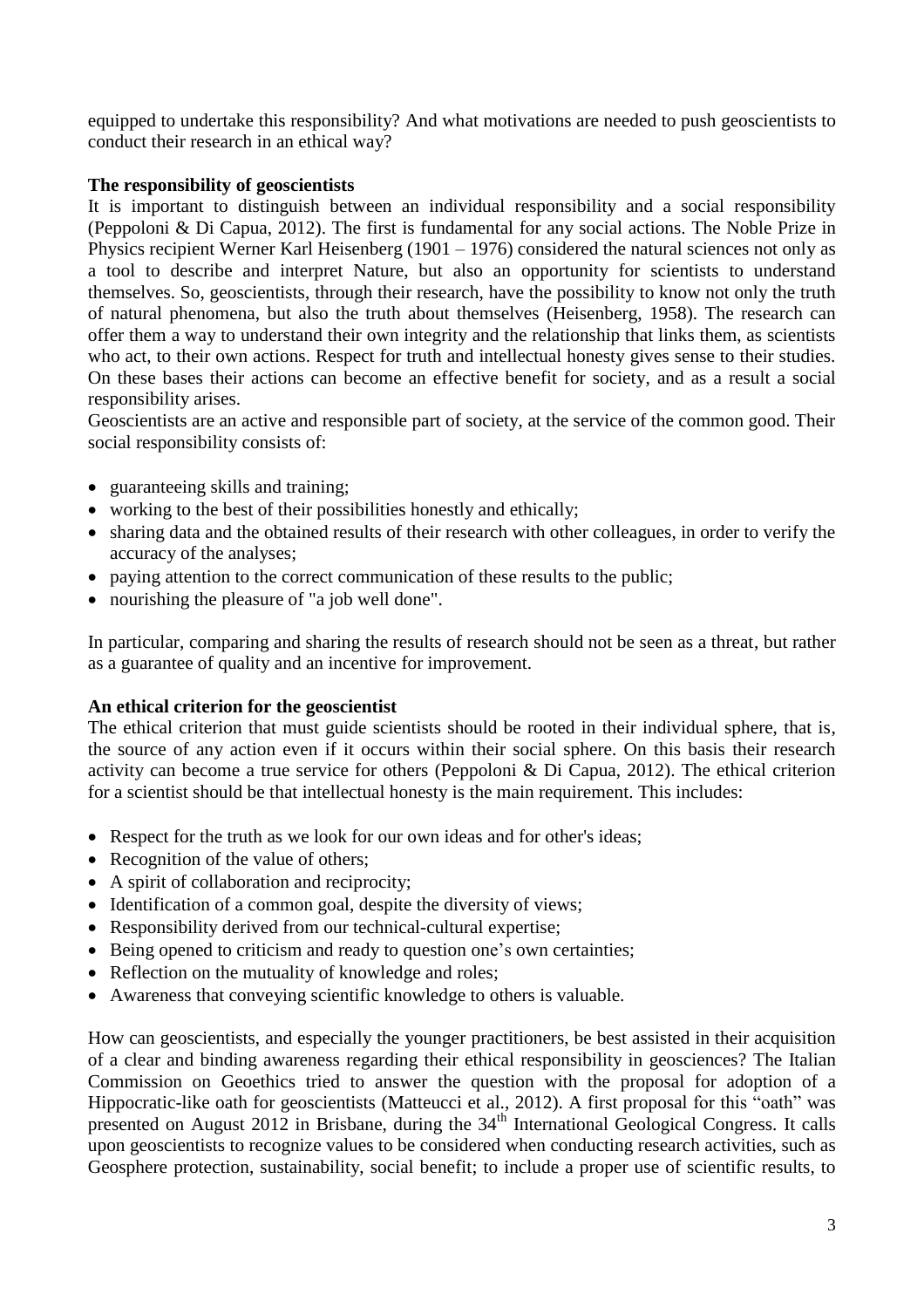equipped to undertake this responsibility? And what motivations are needed to push geoscientists to conduct their research in an ethical way?

## **The responsibility of geoscientists**

It is important to distinguish between an individual responsibility and a social responsibility (Peppoloni & Di Capua, 2012). The first is fundamental for any social actions. The Noble Prize in Physics recipient Werner Karl Heisenberg (1901 – 1976) considered the natural sciences not only as a tool to describe and interpret Nature, but also an opportunity for scientists to understand themselves. So, geoscientists, through their research, have the possibility to know not only the truth of natural phenomena, but also the truth about themselves (Heisenberg, 1958). The research can offer them a way to understand their own integrity and the relationship that links them, as scientists who act, to their own actions. Respect for truth and intellectual honesty gives sense to their studies. On these bases their actions can become an effective benefit for society, and as a result a social responsibility arises.

Geoscientists are an active and responsible part of society, at the service of the common good. Their social responsibility consists of:

- guaranteeing skills and training;
- working to the best of their possibilities honestly and ethically;
- sharing data and the obtained results of their research with other colleagues, in order to verify the accuracy of the analyses;
- paying attention to the correct communication of these results to the public;
- nourishing the pleasure of "a job well done".

In particular, comparing and sharing the results of research should not be seen as a threat, but rather as a guarantee of quality and an incentive for improvement.

## **An ethical criterion for the geoscientist**

The ethical criterion that must guide scientists should be rooted in their individual sphere, that is, the source of any action even if it occurs within their social sphere. On this basis their research activity can become a true service for others (Peppoloni & Di Capua, 2012). The ethical criterion for a scientist should be that intellectual honesty is the main requirement. This includes:

- Respect for the truth as we look for our own ideas and for other's ideas;
- Recognition of the value of others;
- A spirit of collaboration and reciprocity;
- Identification of a common goal, despite the diversity of views;
- Responsibility derived from our technical-cultural expertise;
- Being opened to criticism and ready to question one's own certainties;
- Reflection on the mutuality of knowledge and roles;
- Awareness that conveying scientific knowledge to others is valuable.

How can geoscientists, and especially the younger practitioners, be best assisted in their acquisition of a clear and binding awareness regarding their ethical responsibility in geosciences? The Italian Commission on Geoethics tried to answer the question with the proposal for adoption of a Hippocratic-like oath for geoscientists (Matteucci et al., 2012). A first proposal for this "oath" was presented on August 2012 in Brisbane, during the  $34<sup>th</sup>$  International Geological Congress. It calls upon geoscientists to recognize values to be considered when conducting research activities, such as Geosphere protection, sustainability, social benefit; to include a proper use of scientific results, to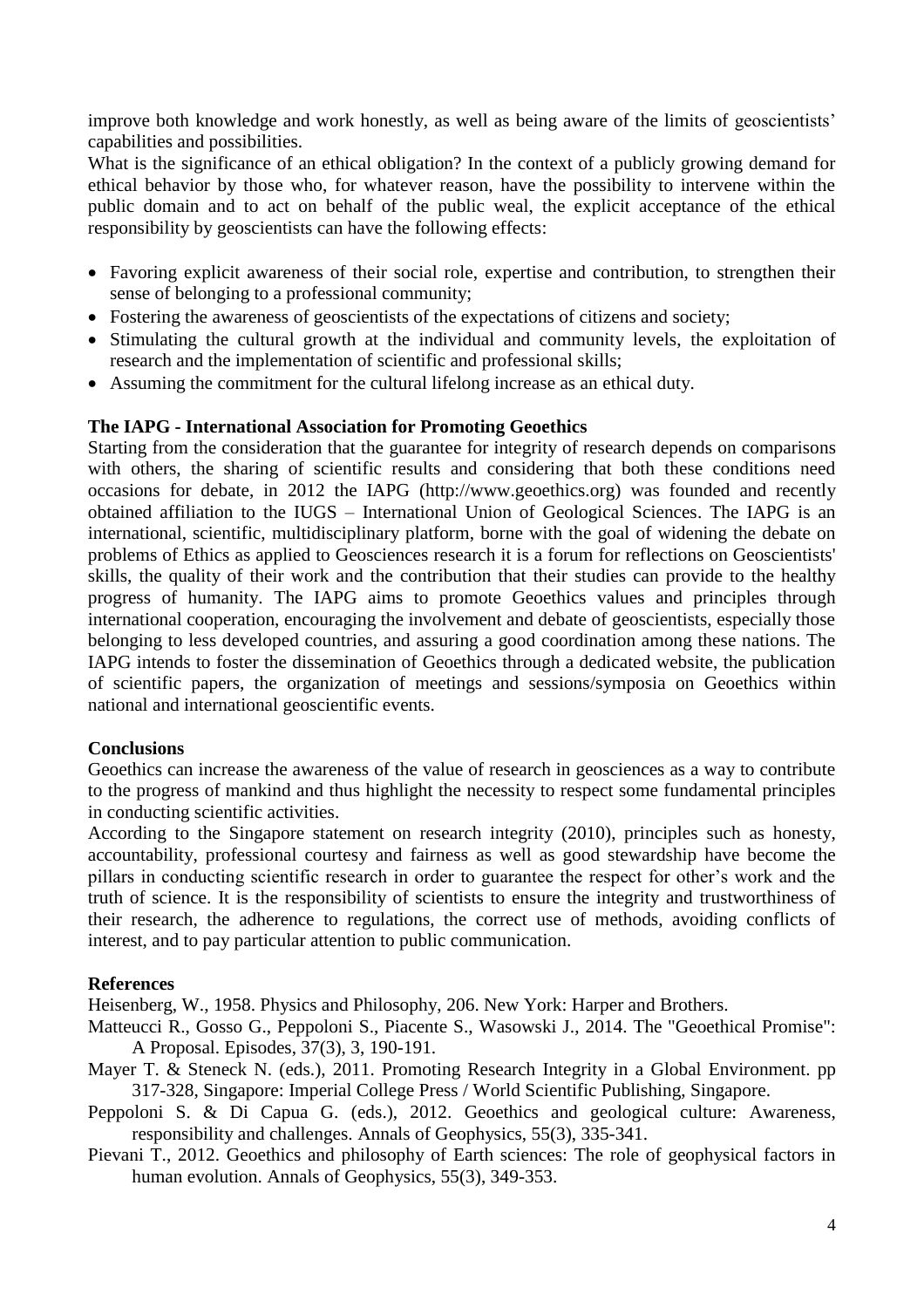improve both knowledge and work honestly, as well as being aware of the limits of geoscientists' capabilities and possibilities.

What is the significance of an ethical obligation? In the context of a publicly growing demand for ethical behavior by those who, for whatever reason, have the possibility to intervene within the public domain and to act on behalf of the public weal, the explicit acceptance of the ethical responsibility by geoscientists can have the following effects:

- Favoring explicit awareness of their social role, expertise and contribution, to strengthen their sense of belonging to a professional community;
- Fostering the awareness of geoscientists of the expectations of citizens and society;
- Stimulating the cultural growth at the individual and community levels, the exploitation of research and the implementation of scientific and professional skills;
- Assuming the commitment for the cultural lifelong increase as an ethical duty.

## **The IAPG - International Association for Promoting Geoethics**

Starting from the consideration that the guarantee for integrity of research depends on comparisons with others, the sharing of scientific results and considering that both these conditions need occasions for debate, in 2012 the IAPG (http://www.geoethics.org) was founded and recently obtained affiliation to the IUGS – International Union of Geological Sciences. The IAPG is an international, scientific, multidisciplinary platform, borne with the goal of widening the debate on problems of Ethics as applied to Geosciences research it is a forum for reflections on Geoscientists' skills, the quality of their work and the contribution that their studies can provide to the healthy progress of humanity. The IAPG aims to promote Geoethics values and principles through international cooperation, encouraging the involvement and debate of geoscientists, especially those belonging to less developed countries, and assuring a good coordination among these nations. The IAPG intends to foster the dissemination of Geoethics through a dedicated website, the publication of scientific papers, the organization of meetings and sessions/symposia on Geoethics within national and international geoscientific events.

## **Conclusions**

Geoethics can increase the awareness of the value of research in geosciences as a way to contribute to the progress of mankind and thus highlight the necessity to respect some fundamental principles in conducting scientific activities.

According to the Singapore statement on research integrity (2010), principles such as honesty, accountability, professional courtesy and fairness as well as good stewardship have become the pillars in conducting scientific research in order to guarantee the respect for other's work and the truth of science. It is the responsibility of scientists to ensure the integrity and trustworthiness of their research, the adherence to regulations, the correct use of methods, avoiding conflicts of interest, and to pay particular attention to public communication.

### **References**

Heisenberg, W., 1958. Physics and Philosophy, 206. New York: Harper and Brothers.

- Matteucci R., Gosso G., Peppoloni S., Piacente S., Wasowski J., 2014. The "Geoethical Promise": A Proposal. Episodes, 37(3), 3, 190-191.
- Mayer T. & Steneck N. (eds.), 2011. Promoting Research Integrity in a Global Environment. pp 317-328, Singapore: Imperial College Press / World Scientific Publishing, Singapore.
- Peppoloni S. & Di Capua G. (eds.), 2012. Geoethics and geological culture: Awareness, responsibility and challenges. Annals of Geophysics, 55(3), 335-341.
- Pievani T., 2012. Geoethics and philosophy of Earth sciences: The role of geophysical factors in human evolution. Annals of Geophysics, 55(3), 349-353.